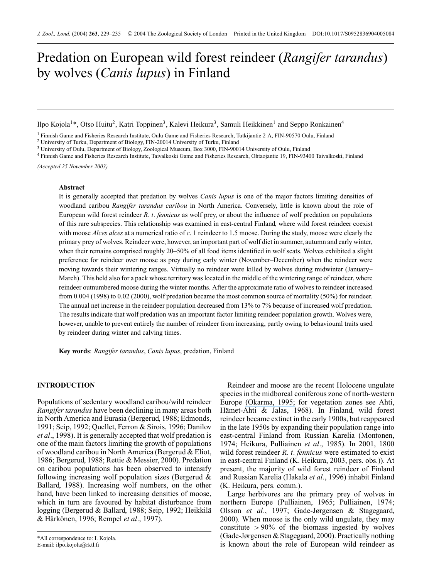# Predation on European wild forest reindeer (*Rangifer tarandus*) by wolves (*Canis lupus*) in Finland

Ilpo Kojola<sup>1\*</sup>, Otso Huitu<sup>2</sup>, Katri Toppinen<sup>3</sup>, Kalevi Heikura<sup>3</sup>, Samuli Heikkinen<sup>1</sup> and Seppo Ronkainen<sup>4</sup>

<sup>1</sup> Finnish Game and Fisheries Research Institute, Oulu Game and Fisheries Research, Tutkijantie 2 A, FIN-90570 Oulu, Finland

<sup>2</sup> University of Turku, Department of Biology, FIN-20014 University of Turku, Finland

<sup>3</sup> University of Oulu, Department of Biology, Zoological Museum, Box 3000, FIN-90014 University of Oulu, Finland

<sup>4</sup> Finnish Game and Fisheries Research Institute, Taivalkoski Game and Fisheries Research, Ohtaojantie 19, FIN-93400 Taivalkoski, Finland

*(Accepted 25 November 2003)*

## **Abstract**

It is generally accepted that predation by wolves *Canis lupus* is one of the major factors limiting densities of woodland caribou *Rangifer tarandus caribou* in North America. Conversely, little is known about the role of European wild forest reindeer *R. t*. *fennicus* as wolf prey, or about the influence of wolf predation on populations of this rare subspecies. This relationship was examined in east-central Finland, where wild forest reindeer coexist with moose *Alces alces* at a numerical ratio of *c*. 1 reindeer to 1.5 moose. During the study, moose were clearly the primary prey of wolves. Reindeer were, however, an important part of wolf diet in summer, autumn and early winter, when their remains comprised roughly 20–50% of all food items identified in wolf scats. Wolves exhibited a slight preference for reindeer over moose as prey during early winter (November–December) when the reindeer were moving towards their wintering ranges. Virtually no reindeer were killed by wolves during midwinter (January– March). This held also for a pack whose territory was located in the middle of the wintering range of reindeer, where reindeer outnumbered moose during the winter months. After the approximate ratio of wolves to reindeer increased from 0.004 (1998) to 0.02 (2000), wolf predation became the most common source of mortality (50%) for reindeer. The annual net increase in the reindeer population decreased from 13% to 7% because of increased wolf predation. The results indicate that wolf predation was an important factor limiting reindeer population growth. Wolves were, however, unable to prevent entirely the number of reindeer from increasing, partly owing to behavioural traits used by reindeer during winter and calving times.

**Key words**: *Rangifer tarandus*, *Canis lupus*, predation, Finland

## **INTRODUCTION**

Populations of sedentary woodland caribou/wild reindeer *Rangifer tarandus* have been declining in many areas both in North America and Eurasia (Bergerud, 1988; Edmonds, 1991; Seip, 1992; Quellet, Ferron & Sirois, 1996; Danilov *et al*., 1998). It is generally accepted that wolf predation is one of the main factors limiting the growth of populations of woodland caribou in North America (Bergerud & Eliot, 1986; Bergerud, 1988; Rettie & Messier, 2000). Predation on caribou populations has been observed to intensify following increasing wolf population sizes (Bergerud & Ballard, 1988). Increasing wolf numbers, on the other hand, have been linked to increasing densities of moose, which in turn are favoured by habitat disturbance from logging (Bergerud & Ballard, 1988; Seip, 1992; Heikkila¨ & Härkönen, 1996; Rempel et al., 1997).

Reindeer and moose are the recent Holocene ungulate species in the midboreal coniferous zone of north-western Europe [\(Okarma, 1995;](https://www.researchgate.net/publication/271319861_The_trophic_ecology_of_wolves_and_their_predatory_role_in_ungulate_communities_of_forest_ecosystems_in_Europe_Acta_Theriol?el=1_x_8&enrichId=rgreq-9e29ea72-8739-4170-8b0c-c4560179c9ee&enrichSource=Y292ZXJQYWdlOzIyOTc3MjA1OTtBUzoxMDM0ODE3OTY5ODg5MjlAMTQwMTY4MzM5MTY3OQ==) for vegetation zones see Ahti, Hämet-Ahti  $\&$  Jalas, 1968). In Finland, wild forest reindeer became extinct in the early 1900s, but reappeared in the late 1950s by expanding their population range into east-central Finland from Russian Karelia (Montonen, 1974; Heikura, Pulliainen *et al*., 1985). In 2001, 1800 wild forest reindeer *R*. *t*. *fennicus* were estimated to exist in east-central Finland (K. Heikura, 2003, pers. obs.)). At present, the majority of wild forest reindeer of Finland and Russian Karelia (Hakala *et al*., 1996) inhabit Finland (K. Heikura, pers. comm.).

Large herbivores are the primary prey of wolves in northern Europe (Pulliainen, 1965; Pulliainen, 1974; Olsson *et al*., 1997; Gade-Jørgensen & Stagegaard, 2000). When moose is the only wild ungulate, they may constitute  $>90\%$  of the biomass ingested by wolves (Gade-Jørgensen & Stagegaard, 2000). Practically nothing is known about the role of European wild reindeer as

<sup>\*</sup>All correspondence to: I. Kojola. E-mail: ilpo.kojola@rktl.fi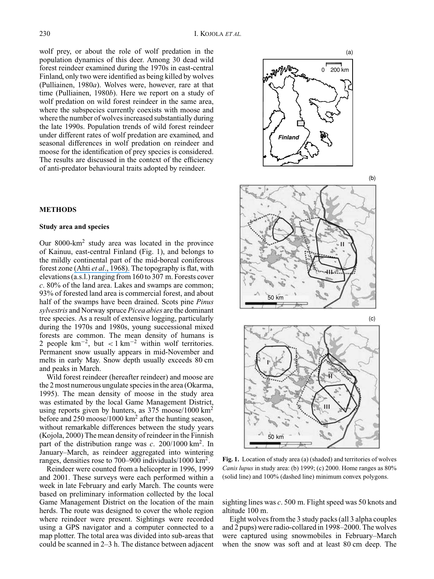wolf prey, or about the role of wolf predation in the population dynamics of this deer. Among 30 dead wild forest reindeer examined during the 1970s in east-central Finland, only two were identified as being killed by wolves (Pulliainen, 1980*a*). Wolves were, however, rare at that time (Pulliainen, 1980*b*). Here we report on a study of wolf predation on wild forest reindeer in the same area, where the subspecies currently coexists with moose and where the number of wolves increased substantially during the late 1990s. Population trends of wild forest reindeer under different rates of wolf predation are examined, and seasonal differences in wolf predation on reindeer and moose for the identification of prey species is considered. The results are discussed in the context of the efficiency of anti-predator behavioural traits adopted by reindeer.

## **METHODS**

## **Study area and species**

Our 8000-km<sup>2</sup> study area was located in the province of Kainuu, east-central Finland (Fig. 1), and belongs to the mildly continental part of the mid-boreal coniferous forest zone (Ahti *et al*[., 1968\).](https://www.researchgate.net/publication/258567744_Vegetation_zones_and_their_actions_in_North_Western_Europe?el=1_x_8&enrichId=rgreq-9e29ea72-8739-4170-8b0c-c4560179c9ee&enrichSource=Y292ZXJQYWdlOzIyOTc3MjA1OTtBUzoxMDM0ODE3OTY5ODg5MjlAMTQwMTY4MzM5MTY3OQ==) The topography is flat, with elevations (a.s.l.) ranging from 160 to 307 m. Forests cover *c*. 80% of the land area. Lakes and swamps are common; 93% of forested land area is commercial forest, and about half of the swamps have been drained. Scots pine *Pinus sylvestris* and Norway spruce *Picea abies* are the dominant tree species. As a result of extensive logging, particularly during the 1970s and 1980s, young successional mixed forests are common. The mean density of humans is 2 people  $\text{km}^{-2}$ , but <1 km<sup>-2</sup> within wolf territories. Permanent snow usually appears in mid-November and melts in early May. Snow depth usually exceeds 80 cm and peaks in March.

Wild forest reindeer (hereafter reindeer) and moose are the 2 most numerous ungulate species in the area (Okarma, 1995). The mean density of moose in the study area was estimated by the local Game Management District, using reports given by hunters, as 375 moose/1000 km<sup>2</sup> before and 250 moose/1000 km<sup>2</sup> after the hunting season, without remarkable differences between the study years (Kojola, 2000) The mean density of reindeer in the Finnish part of the distribution range was *c*. 200/1000 km<sup>2</sup> . In January–March, as reindeer aggregated into wintering ranges, densities rose to 700–900 individuals/1000 km<sup>2</sup> .

Reindeer were counted from a helicopter in 1996, 1999 and 2001. These surveys were each performed within a week in late February and early March. The counts were based on preliminary information collected by the local Game Management District on the location of the main herds. The route was designed to cover the whole region where reindeer were present. Sightings were recorded using a GPS navigator and a computer connected to a map plotter. The total area was divided into sub-areas that could be scanned in 2–3 h. The distance between adjacent





**Fig. 1.** Location of study area (a) (shaded) and territories of wolves *Canis lupus* in study area: (b) 1999; (c) 2000. Home ranges as 80% (solid line) and 100% (dashed line) minimum convex polygons.

sighting lines was *c*. 500 m. Flight speed was 50 knots and altitude 100 m.

Eight wolves from the 3 study packs (all 3 alpha couples and 2 pups) were radio-collared in 1998–2000. The wolves were captured using snowmobiles in February–March when the snow was soft and at least 80 cm deep. The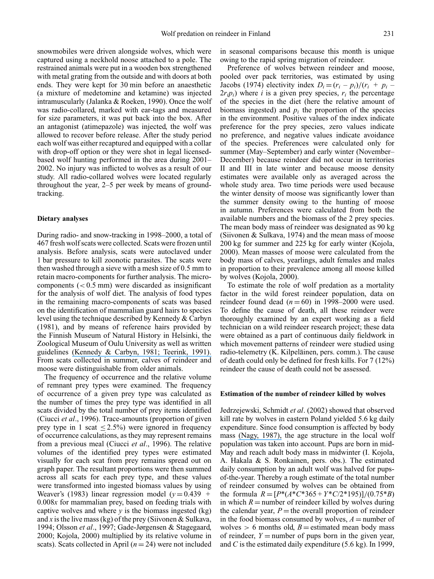in seasonal comparisons because this month is unique owing to the rapid spring migration of reindeer.

snowmobiles were driven alongside wolves, which were captured using a neckhold noose attached to a pole. The restrained animals were put in a wooden box strengthened with metal grating from the outside and with doors at both ends. They were kept for 30 min before an anaesthetic (a mixture of medetomine and ketamine) was injected intramuscularly (Jalanka & Roeken, 1990). Once the wolf was radio-collared, marked with ear-tags and measured for size parameters, it was put back into the box. After an antagonist (atimepazole) was injected, the wolf was allowed to recover before release. After the study period each wolf was either recaptured and equipped with a collar with drop-off option or they were shot in legal licensedbased wolf hunting performed in the area during 2001– 2002. No injury was inflicted to wolves as a result of our study. All radio-collared wolves were located regularly throughout the year, 2–5 per week by means of groundtracking.

### **Dietary analyses**

During radio- and snow-tracking in 1998–2000, a total of 467 fresh wolf scats were collected. Scats were frozen until analysis. Before analysis, scats were autoclaved under 1 bar pressure to kill zoonotic parasites. The scats were then washed through a sieve with a mesh size of 0.5 mm to retain macro-components for further analysis. The microcomponents  $( $0.5 \text{ mm}$ )$  were discarded as insignificant for the analysis of wolf diet. The analysis of food types in the remaining macro-components of scats was based on the identification of mammalian guard hairs to species level using the technique described by Kennedy & Carbyn (1981), and by means of reference hairs provided by the Finnish Museum of Natural History in Helsinki, the Zoological Museum of Oulu University as well as written guidelines [\(Kennedy & Carbyn, 1981; Teerink, 1991\).](https://www.researchgate.net/publication/277249638_identification_of_wolf_prey_using_hair_and_feather_remains_with_special_reference_to_western_Canadian_national_parks?el=1_x_8&enrichId=rgreq-9e29ea72-8739-4170-8b0c-c4560179c9ee&enrichSource=Y292ZXJQYWdlOzIyOTc3MjA1OTtBUzoxMDM0ODE3OTY5ODg5MjlAMTQwMTY4MzM5MTY3OQ==) From scats collected in summer, calves of reindeer and moose were distinguishable from older animals.

The frequency of occurrence and the relative volume of remnant prey types were examined. The frequency of occurrence of a given prey type was calculated as the number of times the prey type was identified in all scats divided by the total number of prey items identified (Ciucci *et al*., 1996). Trace-amounts (proportion of given prey type in 1 scat  $\leq 2.5\%$ ) were ignored in frequency of occurrence calculations, as they may represent remains from a previous meal (Ciucci *et al*., 1996). The relative volumes of the identified prey types were estimated visually for each scat from prey remains spread out on graph paper. The resultant proportions were then summed across all scats for each prey type, and these values were transformed into ingested biomass values by using Weaver's (1983) linear regression model ( $y = 0.439 + 1$ 0.008*x* for mammalian prey, based on feeding trials with captive wolves and where  $\nu$  is the biomass ingested (kg) and x is the live mass (kg) of the prey (Siivonen & Sulkava, 1994; Olsson *et al*., 1997; Gade-Jørgensen & Stagegaard, 2000; Kojola, 2000) multiplied by its relative volume in scats). Scats collected in April  $(n = 24)$  were not included

Preference of wolves between reindeer and moose, pooled over pack territories, was estimated by using Jacobs (1974) electivity index  $D_i = (r_i - p_i)/(r_i + p_i 2r_i p_i$ ) where *i* is a given prey species,  $r_i$  the percentage of the species in the diet (here the relative amount of biomass ingested) and  $p_i$  the proportion of the species in the environment. Positive values of the index indicate preference for the prey species, zero values indicate no preference, and negative values indicate avoidance of the species. Preferences were calculated only for summer (May–September) and early winter (November– December) because reindeer did not occur in territories II and III in late winter and because moose density estimates were available only as averaged across the whole study area. Two time periods were used because the winter density of moose was significantly lower than the summer density owing to the hunting of moose in autumn. Preferences were calculated from both the available numbers and the biomass of the 2 prey species. The mean body mass of reindeer was designated as 90 kg (Siivonen & Sulkava, 1974) and the mean mass of moose 200 kg for summer and 225 kg for early winter (Kojola, 2000). Mean masses of moose were calculated from the body mass of calves, yearlings, adult females and males in proportion to their prevalence among all moose killed by wolves (Kojola, 2000).

To estimate the role of wolf predation as a mortality factor in the wild forest reindeer population, data on reindeer found dead  $(n=60)$  in 1998–2000 were used. To define the cause of death, all these reindeer were thoroughly examined by an expert working as a field technician on a wild reindeer research project; these data were obtained as a part of continuous daily fieldwork in which movement patterns of reindeer were studied using radio-telemetry (K. Kilpeläinen, pers. comm.). The cause of death could only be defined for fresh kills. For 7 (12%) reindeer the cause of death could not be assessed.

#### **Estimation of the number of reindeer killed by wolves**

Jedrzejewski, Schmidt *et al*. (2002) showed that observed kill rate by wolves in eastern Poland yielded 5.6 kg daily expenditure. Since food consumption is affected by body mass [\(Nagy, 1987\),](https://www.researchgate.net/publication/216813330_Field_Metabolic_Rate_and_Food_Requirement_Scaling_in_Mammals_and_Birds?el=1_x_8&enrichId=rgreq-9e29ea72-8739-4170-8b0c-c4560179c9ee&enrichSource=Y292ZXJQYWdlOzIyOTc3MjA1OTtBUzoxMDM0ODE3OTY5ODg5MjlAMTQwMTY4MzM5MTY3OQ==) the age structure in the local wolf population was taken into account. Pups are born in mid-May and reach adult body mass in midwinter (I. Kojola, A. Hakala & S. Ronkainen, pers. obs.). The estimated daily consumption by an adult wolf was halved for pupsof-the-year. Thereby a rough estimate of the total number of reindeer consumed by wolves can be obtained from the formula  $R = [P^*(A^*C^*365 + Y^*C/2^*195)]/(0.75^*B)$ in which  $R =$  number of reindeer killed by wolves during the calendar year,  $P =$  the overall proportion of reindeer in the food biomass consumed by wolves,  $A =$  number of wolves  $> 6$  months old,  $B =$  estimated mean body mass of reindeer,  $Y =$  number of pups born in the given year, and *C* is the estimated daily expenditure (5.6 kg). In 1999,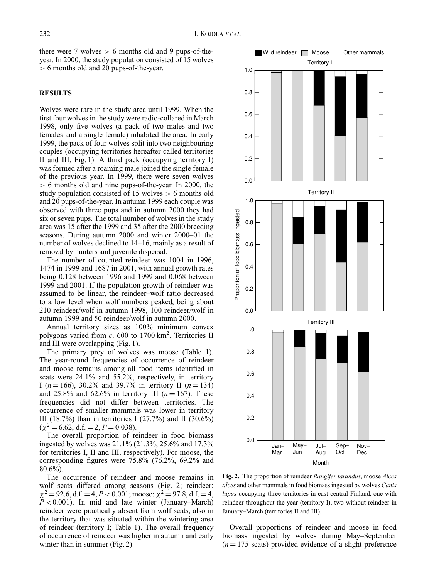there were 7 wolves  $> 6$  months old and 9 pups-of-theyear. In 2000, the study population consisted of 15 wolves > 6 months old and 20 pups-of-the-year.

## **RESULTS**

Wolves were rare in the study area until 1999. When the first four wolves in the study were radio-collared in March 1998, only five wolves (a pack of two males and two females and a single female) inhabited the area. In early 1999, the pack of four wolves split into two neighbouring couples (occupying territories hereafter called territories II and III, Fig. 1). A third pack (occupying territory I) was formed after a roaming male joined the single female of the previous year. In 1999, there were seven wolves > 6 months old and nine pups-of-the-year. In 2000, the study population consisted of 15 wolves > 6 months old and 20 pups-of-the-year. In autumn 1999 each couple was observed with three pups and in autumn 2000 they had six or seven pups. The total number of wolves in the study area was 15 after the 1999 and 35 after the 2000 breeding seasons. During autumn 2000 and winter 2000–01 the number of wolves declined to 14–16, mainly as a result of removal by hunters and juvenile dispersal.

The number of counted reindeer was 1004 in 1996, 1474 in 1999 and 1687 in 2001, with annual growth rates being 0.128 between 1996 and 1999 and 0.068 between 1999 and 2001. If the population growth of reindeer was assumed to be linear, the reindeer–wolf ratio decreased to a low level when wolf numbers peaked, being about 210 reindeer/wolf in autumn 1998, 100 reindeer/wolf in autumn 1999 and 50 reindeer/wolf in autumn 2000.

Annual territory sizes as 100% minimum convex polygons varied from *c*. 600 to 1700 km<sup>2</sup> . Territories II and III were overlapping (Fig. 1).

The primary prey of wolves was moose (Table 1). The year-round frequencies of occurrence of reindeer and moose remains among all food items identified in scats were 24.1% and 55.2%, respectively, in territory I ( $n = 166$ ), 30.2% and 39.7% in territory II ( $n = 134$ ) and 25.8% and 62.6% in territory III ( $n = 167$ ). These frequencies did not differ between territories. The occurrence of smaller mammals was lower in territory III (18.7%) than in territories I (27.7%) and II (30.6%)  $(\chi^2 = 6.62, d.f. = 2, P = 0.038).$ 

The overall proportion of reindeer in food biomass ingested by wolves was 21.1% (21.3%, 25.6% and 17.3% for territories I, II and III, respectively). For moose, the corresponding figures were 75.8% (76.2%, 69.2% and 80.6%).

The occurrence of reindeer and moose remains in wolf scats differed among seasons (Fig. 2; reindeer:  $\chi^2 = 92.6$ , d.f. = 4, *P* < 0.001; moose:  $\chi^2 = 97.8$ , d.f. = 4,  $P < 0.001$ ). In mid and late winter (January–March) reindeer were practically absent from wolf scats, also in the territory that was situated within the wintering area of reindeer (territory I; Table 1). The overall frequency of occurrence of reindeer was higher in autumn and early winter than in summer (Fig. 2).



**Fig. 2.** The proportion of reindeer *Rangifer tarandus*, moose *Alces alces* and other mammals in food biomass ingested by wolves *Canis lupus* occupying three territories in east-central Finland, one with reindeer throughout the year (territory I), two without reindeer in January–March (territories II and III).

Overall proportions of reindeer and moose in food biomass ingested by wolves during May–September  $(n = 175 \text{ scats})$  provided evidence of a slight preference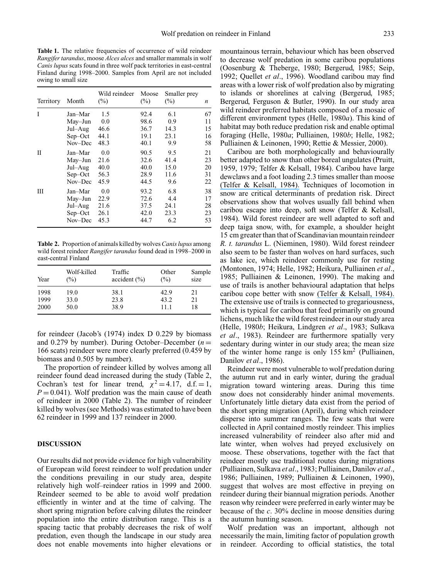**Table 1.** The relative frequencies of occurrence of wild reindeer *Rangifer tarandus*, moose *Alces alces* and smaller mammals in wolf *Canis lupus* scats found in three wolf pack territories in east-central Finland during 1998–2000. Samples from April are not included owing to small size

| Territory | Month     | Wild reindeer<br>$(\%)$ | Moose<br>$(\%)$ | Smaller prey<br>$(\%)$ | $\boldsymbol{n}$ |
|-----------|-----------|-------------------------|-----------------|------------------------|------------------|
| T         | Jan–Mar   | 1.5                     | 92.4            | 6.1                    | 67               |
|           | May-Jun   | 0.0                     | 98.6            | 0.9                    | 11               |
|           | Jul-Aug   | 46.6                    | 36.7            | 14.3                   | 15               |
|           | Sep-Oct   | 44.1                    | 19.1            | 23.1                   | 16               |
|           | Nov-Dec   | 48.3                    | 40.1            | 9.9                    | 58               |
| П         | Jan-Mar   | 0.0                     | 90.5            | 9.5                    | 21               |
|           | May-Jun   | 21.6                    | 32.6            | 41.4                   | 23               |
|           | Jul-Aug   | 40.0                    | 40.0            | 15.0                   | 20               |
|           | $Sep-Oct$ | 56.3                    | 28.9            | 11.6                   | 31               |
|           | Nov-Dec   | 45.9                    | 44.5            | 9.6                    | 22               |
| Ш         | Jan-Mar   | 0.0                     | 93.2            | 6.8                    | 38               |
|           | May-Jun   | 22.9                    | 72.6            | 4.4                    | 17               |
|           | Jul-Aug   | 21.6                    | 37.5            | 24.1                   | 28               |
|           | Sep-Oct   | 26.1                    | 42.0            | 23.3                   | 23               |
|           | Nov-Dec   | 45.3                    | 44.7            | 6.2                    | 53               |

**Table 2.** Proportion of animals killed by wolves*Canis lupus* among wild forest reindeer *Rangifer tarandus* found dead in 1998–2000 in east-central Finland

| Year | Wolf-killed<br>(%) | Traffic<br>accident (%) | Other<br>$(\%)$ | Sample<br>size |
|------|--------------------|-------------------------|-----------------|----------------|
| 1998 | 19.0               | 38.1                    | 42.9            | 21             |
| 1999 | 33.0               | 23.8                    | 43.2            | 21             |
| 2000 | 50.0               | 38.9                    | 11.1            | 18             |

for reindeer (Jacob's (1974) index D 0.229 by biomass and 0.279 by number). During October–December  $(n =$ 166 scats) reindeer were more clearly preferred (0.459 by biomass and 0.505 by number).

The proportion of reindeer killed by wolves among all reindeer found dead increased during the study (Table 2, Cochran's test for linear trend,  $\chi^2 = 4.17$ , d.f. = 1,  $P = 0.041$ ). Wolf predation was the main cause of death of reindeer in 2000 (Table 2). The number of reindeer killed by wolves (see Methods) was estimated to have been 62 reindeer in 1999 and 137 reindeer in 2000.

#### **DISCUSSION**

Our results did not provide evidence for high vulnerability of European wild forest reindeer to wolf predation under the conditions prevailing in our study area, despite relatively high wolf–reindeer ratios in 1999 and 2000. Reindeer seemed to be able to avoid wolf predation efficiently in winter and at the time of calving. The short spring migration before calving dilutes the reindeer population into the entire distribution range. This is a spacing tactic that probably decreases the risk of wolf predation, even though the landscape in our study area does not enable movements into higher elevations or mountainous terrain, behaviour which has been observed to decrease wolf predation in some caribou populations (Oosenburg & Theberge, 1980; Bergerud, 1985; Seip, 1992; Quellet *et al*., 1996). Woodland caribou may find areas with a lower risk of wolf predation also by migrating to islands or shorelines at calving (Bergerud, 1985; Bergerud, Ferguson & Butler, 1990). In our study area wild reindeer preferred habitats composed of a mosaic of different environment types (Helle, 1980*a*). This kind of habitat may both reduce predation risk and enable optimal foraging (Helle, 1980*a*; Pulliainen, 1980*b*; Helle, 1982; Pulliainen & Leinonen, 1990; Rettie & Messier, 2000).

Caribou are both morphologically and behaviourally better adapted to snow than other boreal ungulates (Pruitt, 1959, 1979; Telfer & Kelsall, 1984). Caribou have large dewclaws and a foot loading 2.3 times smaller than moose [\(Telfer & Kelsall, 1984\).](https://www.researchgate.net/publication/229189903_Adaptation_of_Some_Large_North_American_Mammals_for_Survival_In_Snow?el=1_x_8&enrichId=rgreq-9e29ea72-8739-4170-8b0c-c4560179c9ee&enrichSource=Y292ZXJQYWdlOzIyOTc3MjA1OTtBUzoxMDM0ODE3OTY5ODg5MjlAMTQwMTY4MzM5MTY3OQ==) Techniques of locomotion in snow are critical determinants of predation risk. Direct observations show that wolves usually fall behind when caribou escape into deep, soft snow (Telfer & Kelsall, 1984). Wild forest reindeer are well adapted to soft and deep taiga snow, with, for example, a shoulder height 15 cm greater than that of Scandinavian mountain reindeer *R. t. tarandus* L. (Nieminen, 1980). Wild forest reindeer also seem to be faster than wolves on hard surfaces, such as lake ice, which reindeer commonly use for resting (Montonen, 1974; Helle, 1982; Heikura, Pulliainen *et al*., 1985; Pulliainen & Leinonen, 1990). The making and use of trails is another behavioural adaptation that helps caribou cope better with snow [\(Telfer & Kelsall, 1984\).](https://www.researchgate.net/publication/229189903_Adaptation_of_Some_Large_North_American_Mammals_for_Survival_In_Snow?el=1_x_8&enrichId=rgreq-9e29ea72-8739-4170-8b0c-c4560179c9ee&enrichSource=Y292ZXJQYWdlOzIyOTc3MjA1OTtBUzoxMDM0ODE3OTY5ODg5MjlAMTQwMTY4MzM5MTY3OQ==) The extensive use of trails is connected to gregariousness, which is typical for caribou that feed primarily on ground lichens, much like the wild forest reindeer in our study area (Helle, 1980*b*; Heikura, Lindgren *et al*., 1983; Sulkava *et al*., 1983). Reindeer are furthermore spatially very sedentary during winter in our study area; the mean size of the winter home range is only  $155 \text{ km}^2$  (Pulliainen, Danilov *et al*., 1986).

Reindeer were most vulnerable to wolf predation during the autumn rut and in early winter, during the gradual migration toward wintering areas. During this time snow does not considerably hinder animal movements. Unfortunately little dietary data exist from the period of the short spring migration (April), during which reindeer disperse into summer ranges. The few scats that were collected in April contained mostly reindeer. This implies increased vulnerability of reindeer also after mid and late winter, when wolves had preyed exclusively on moose. These observations, together with the fact that reindeer mostly use traditional routes during migrations (Pulliainen, Sulkava *et al*., 1983; Pulliainen, Danilov *et al*., 1986; Pulliainen, 1989; Pulliainen & Leinonen, 1990), suggest that wolves are most effective in preying on reindeer during their biannual migration periods. Another reason why reindeer were preferred in early winter may be because of the *c*. 30% decline in moose densities during the autumn hunting season.

Wolf predation was an important, although not necessarily the main, limiting factor of population growth in reindeer. According to official statistics, the total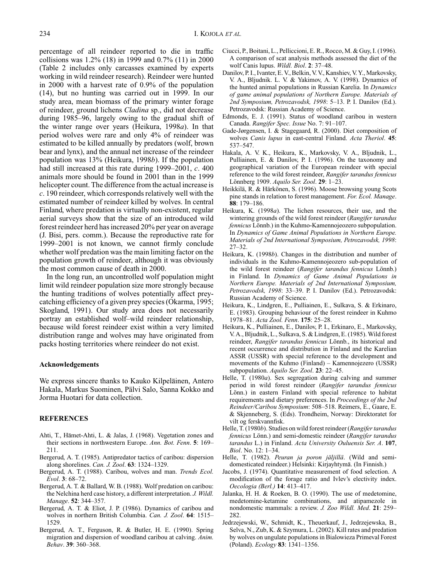percentage of all reindeer reported to die in traffic collisions was 1.2% (18) in 1999 and 0.7% (11) in 2000 (Table 2 includes only carcasses examined by experts working in wild reindeer research). Reindeer were hunted in 2000 with a harvest rate of 0.9% of the population (14), but no hunting was carried out in 1999. In our study area, mean biomass of the primary winter forage of reindeer, ground lichens *Cladina* sp., did not decrease during 1985–96, largely owing to the gradual shift of the winter range over years (Heikura, 1998*a*). In that period wolves were rare and only 4% of reindeer was estimated to be killed annually by predators (wolf, brown bear and lynx), and the annual net increase of the reindeer population was 13% (Heikura, 1998*b*). If the population had still increased at this rate during 1999–2001, *c*. 400 animals more should be found in 2001 than in the 1999 helicopter count. The difference from the actual increase is *c*. 190 reindeer, which corresponds relatively well with the estimated number of reindeer killed by wolves. In central Finland, where predation is virtually non-existent, regular aerial surveys show that the size of an introduced wild forest reindeer herd has increased 20% per year on average (J. Bisi, pers. comm.). Because the reproductive rate for 1999–2001 is not known, we cannot firmly conclude whether wolf predation was the main limiting factor on the population growth of reindeer, although it was obviously the most common cause of death in 2000.

In the long run, an uncontrolled wolf population might limit wild reindeer population size more strongly because the hunting traditions of wolves potentially affect preycatching efficiency of a given prey species (Okarma, 1995; Skogland, 1991). Our study area does not necessarily portray an established wolf–wild reindeer relationship, because wild forest reindeer exist within a very limited distribution range and wolves may have originated from packs hosting territories where reindeer do not exist.

## **Acknowledgements**

We express sincere thanks to Kauko Kilpeläinen, Antero Hakala, Markus Suominen, Pälvi Salo, Sanna Kokko and Jorma Huotari for data collection.

### **REFERENCES**

- Ahti, T., Hamet-Ahti, L. & Jalas, J. (1968). Vegetation zones and ¨ their sections in northwestern Europe. *Ann. Bot. Fenn*. **5**: 169– 211.
- Bergerud, A. T. (1985). Antipredator tactics of caribou: dispersion along shorelines. *Can. J. Zool*. **63**: 1324–1329.
- Bergerud, A. T. (1988). Caribou, wolves and man. *Trends Ecol. Evol*. **3**: 68–72.
- Bergerud, A. T. & Ballard, W. B. (1988). Wolf predation on caribou: the Nelchina herd case history, a different interpretation. *J. Wildl. Manage*. **52**: 344–357.
- Bergerud, A. T. & Eliot, J. P. (1986). Dynamics of caribou and wolves in northern British Columbia. *Can. J. Zool*. **64**: 1515– 1529.
- Bergerud, A. T., Ferguson, R. & Butler, H. E. (1990). Spring migration and dispersion of woodland caribou at calving. *Anim. Behav*. **39**: 360–368.
- Ciucci, P., Boitani, L., Pelliccioni, E. R., Rocco, M. & Guy, I. (1996). A comparison of scat analysis methods assessed the diet of the wolf Canis lupus. *Wildl. Biol*. **2**: 37–48.
- Danilov, P. I., Ivanter, E. V., Belkin, V. V., Kanshiev, V. Y., Markovsky, V. A., Bljudnik. L. V. & Yakimov, A. V. (1998). Dynamics of the hunted animal populations in Russian Karelia. In *Dynamics of game animal populations of Northern Europe. Materials of 2nd Symposium, Petrozavodsk, 1998*: 5–13. P. I. Danilov (Ed.). Petrozavodsk: Russian Academy of Science.
- Edmonds, E. J. (1991). Status of woodland caribou in western Canada. *Rangifer Spec. Issue* No. 7: 91–107.
- Gade-Jørgensen, I. & Stagegaard, R. (2000). Diet composition of wolves *Canis lupus* in east-central Finland. *Acta Theriol*. **45**: 537–547.
- Hakala, A. V. K., Heikura, K., Markovsky, V. A., Bljudnik, L., Pulliainen, E. & Danilov, P. I. (1996). On the taxonomy and geographical variation of the European reindeer with special reference to the wild forest reindeer, *Rangifer tarandus fennicus* Lönnberg 1909. Aquilo Ser. Zool. **29**: 1–23.
- Heikkilä, R. & Härkönen, S. (1996). Moose browsing young Scots pine stands in relation to forest management. *For. Ecol. Manage*. **88**: 179–186.
- Heikura, K. (1998*a*). The lichen resources, their use, and the wintering grounds of the wild forest reindeer (*Rangifer tarandus fennicus* Lönnb.) in the Kuhmo-Kamennojeozero subpopulation. In *Dynamics of Game Animal Populations in Northern Europe. Materials of 2nd International Symposium, Petrozavodsk, 1998*: 27–32.
- Heikura, K. (1998*b*). Changes in the distribution and number of individuals in the Kuhmo-Kamennojeozero sub-population of the wild forest reindeer (*Rangifer tarandus fennicus* Lönnb.) in Finland. In *Dynamics of Game Animal Populations in Northern Europe. Materials of 2nd International Symposium, Petrozavodsk, 1998*: 33–39. P. I. Danilov (Ed.). Petrozavodsk: Russian Academy of Science.
- Heikura, K., Lindgren, E., Pulliainen, E., Sulkava, S. & Erkinaro, E. (1983). Grouping behaviour of the forest reindeer in Kuhmo 1978–81. *Acta Zool. Fenn*. **175**: 25–28.
- Heikura, K., Pulliainen, E., Danilov, P. I., Erkinaro, E., Markovsky, V. A., Bljudnik, L., Sulkava, S. & Lindgren, E. (1985). Wild forest reindeer, *Rangifer tarandus fennicus* Lönnb., its historical and recent occurrence and distribution in Finland and the Karelian ASSR (USSR) with special reference to the development and movements of the Kuhmo (Finland) – Kamennojezero (USSR) subpopulation. *Aquilo Ser. Zool*. **23**: 22–45.
- Helle, T. (1980*a*). Sex segregation during calving and summer period in wild forest reindeer (*Rangifer tarandus fennicus* Lönn.) in eastern Finland with special reference to habitat requirements and dietary preferences. In *Proceedings of the 2nd Reindeer/Caribou Symposium*: 508–518. Reimers, E., Gaare, E. & Skjenneberg, S. (Eds). Trondheim, Norway: Direktoratet for vilt og ferskvannfisk.
- Helle, T. (1980*b*). Studies on wild forest reindeer (*Rangifer tarandus fennicus* Lönn.) and semi-domestic reindeer (Rangifer tarandus *tarandus* L.) in Finland. *Acta University Ouluensis Ser. A*. **107**, *Biol*. No. 12: 1–34.
- Helle, T. (1982). *Peuran ja poron jäljillä*. (Wild and semidomesticated reindeer.) Helsinki: Kirjayhtyma. (In Finnish.) ¨
- Jacobs, J. (1974). Quantitative measurement of food selection. A modification of the forage ratio and Ivlev's electivity index. *Oecologia (Berl.)* **14**: 413–417.
- Jalanka, H. H. & Roeken, B. O. (1990). The use of medetomine, medetomine-ketamine combinations, and atipamezole in nondomestic mammals: a review. *J. Zoo Wildl. Med*. **21**: 259– 282.
- Jedrzejewski, W., Schmidt, K., Theuerkauf, J., Jedrzejewska, B., Selva, N., Zub, K. & Szymura, L. (2002). Kill rates and predation by wolves on ungulate populations in Bialowieza Primeval Forest (Poland). *Ecology* **83**: 1341–1356.